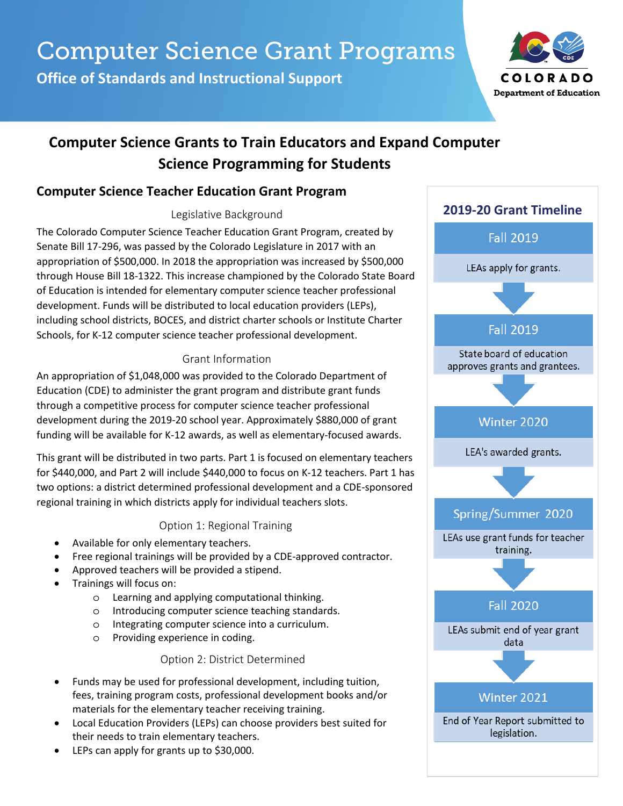**Office of Standards and Instructional Support**



# **Computer Science Grants to Train Educators and Expand Computer Science Programming for Students**

# **Computer Science Teacher Education Grant Program**

#### Legislative Background

The Colorado Computer Science Teacher Education Grant Program, created by Senate Bill 17-296, was passed by the Colorado Legislature in 2017 with an appropriation of \$500,000. In 2018 the appropriation was increased by \$500,000 through House Bill 18-1322. This increase championed by the Colorado State Board of Education is intended for elementary computer science teacher professional development. Funds will be distributed to local education providers (LEPs), including school districts, BOCES, and district charter schools or Institute Charter Schools, for K-12 computer science teacher professional development.

## Grant Information

An appropriation of \$1,048,000 was provided to the Colorado Department of Education (CDE) to administer the grant program and distribute grant funds through a competitive process for computer science teacher professional development during the 2019-20 school year. Approximately \$880,000 of grant funding will be available for K-12 awards, as well as elementary-focused awards.

This grant will be distributed in two parts. Part 1 is focused on elementary teachers for \$440,000, and Part 2 will include \$440,000 to focus on K-12 teachers. Part 1 has two options: a district determined professional development and a CDE-sponsored regional training in which districts apply for individual teachers slots.

### Option 1: Regional Training

- Available for only elementary teachers.
- Free regional trainings will be provided by a CDE-approved contractor.
- Approved teachers will be provided a stipend.
- Trainings will focus on:
	- o Learning and applying computational thinking.
	- o Introducing computer science teaching standards.
	- o Integrating computer science into a curriculum.
	- o Providing experience in coding.

#### Option 2: District Determined

- Funds may be used for professional development, including tuition, fees, training program costs, professional development books and/or materials for the elementary teacher receiving training.
- Local Education Providers (LEPs) can choose providers best suited for their needs to train elementary teachers.
- LEPs can apply for grants up to \$30,000.